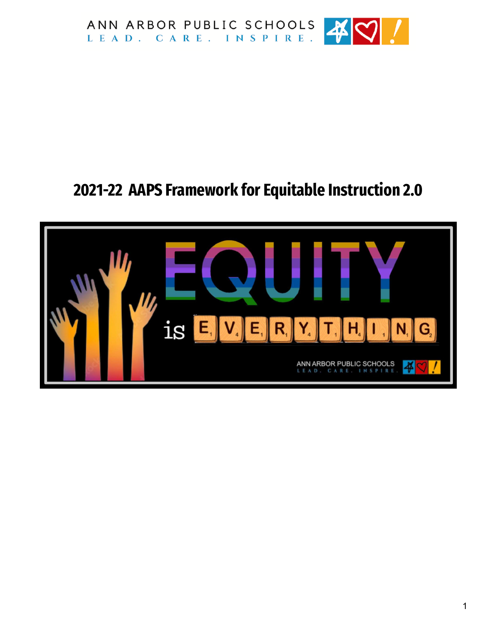

## **2021-22 AAPS Framework for Equitable Instruction 2.0**

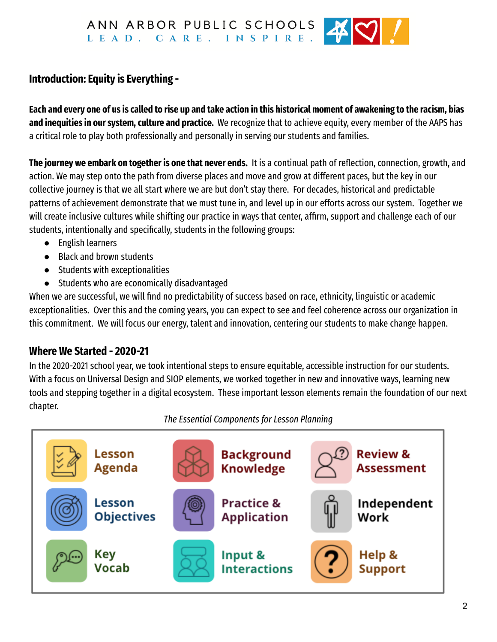ANN ARBOR PUBLIC SCHOOLS LEAD. CARE. INSPIRE.



## **Introduction: Equity is Everything -**

Each and every one of us is called to rise up and take action in this historical moment of awakening to the racism, bias **and inequities in our system, culture and practice.** We recognize that to achieve equity, every member of the AAPS has a critical role to play both professionally and personally in serving our students and families.

**The journey we embark on together is one that never ends.** It is a continual path of reflection, connection, growth, and action. We may step onto the path from diverse places and move and grow at different paces, but the key in our collective journey is that we all start where we are but don't stay there. For decades, historical and predictable patterns of achievement demonstrate that we must tune in, and level up in our efforts across our system. Together we will create inclusive cultures while shifting our practice in ways that center, affirm, support and challenge each of our students, intentionally and specifically, students in the following groups:

- English learners
- Black and brown students
- Students with exceptionalities
- Students who are economically disadvantaged

When we are successful, we will find no predictability of success based on race, ethnicity, linguistic or academic exceptionalities. Over this and the coming years, you can expect to see and feel coherence across our organization in this commitment. We will focus our energy, talent and innovation, centering our students to make change happen.

#### **Where We Started - 2020-21**

In the 2020-2021 school year, we took intentional steps to ensure equitable, accessible instruction for our students. With a focus on Universal Design and SIOP elements, we worked together in new and innovative ways, learning new tools and stepping together in a digital ecosystem. These important lesson elements remain the foundation of our next chapter.

*The Essential Components for Lesson Planning*

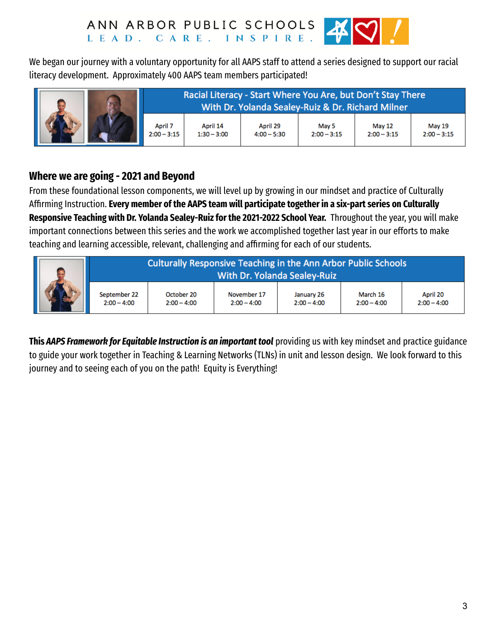

We began our journey with a voluntary opportunity for all AAPS staff to attend a series designed to support our racial literacy development. Approximately 400 AAPS team members participated!



#### **Where we are going - 2021 and Beyond**

From these foundational lesson components, we will level up by growing in our mindset and practice of Culturally Affirming Instruction. **Every member of the AAPS team will participate together in a six-part series on Culturally Responsive Teaching with Dr. Yolanda Sealey-Ruizfor the 2021-2022 School Year.** Throughout the year, you will make important connections between this series and the work we accomplished together last year in our efforts to make teaching and learning accessible, relevant, challenging and affirming for each of our students.

|  | Culturally Responsive Teaching in the Ann Arbor Public Schools<br><b>With Dr. Yolanda Sealey-Ruiz</b> |                             |                              |                             |                           |                           |
|--|-------------------------------------------------------------------------------------------------------|-----------------------------|------------------------------|-----------------------------|---------------------------|---------------------------|
|  | September 22<br>$2:00 - 4:00$                                                                         | October 20<br>$2:00 - 4:00$ | November 17<br>$2:00 - 4:00$ | January 26<br>$2:00 - 4:00$ | March 16<br>$2:00 - 4:00$ | April 20<br>$2:00 - 4:00$ |

**This** *AAPS Framework for Equitable Instruction is an important tool* providing us with key mindset and practice guidance to guide your work together in Teaching & Learning Networks (TLNs) in unit and lesson design. We look forward to this journey and to seeing each of you on the path! Equity is Everything!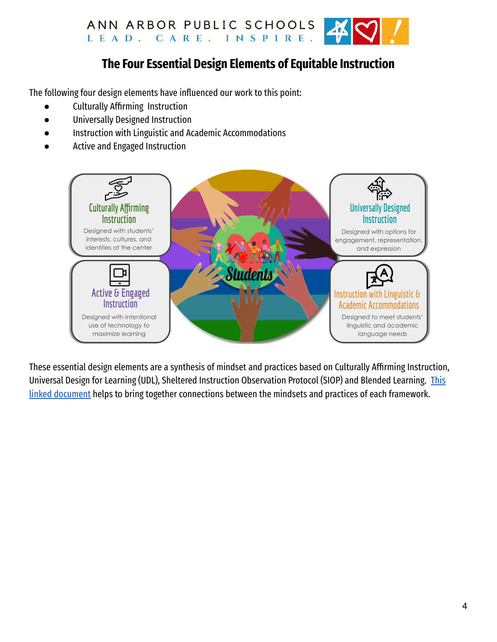

## **The Four Essential Design Elements of Equitable Instruction**

The following four design elements have influenced our work to this point:

- Culturally Affirming Instruction
- Universally Designed Instruction
- Instruction with Linguistic and Academic Accommodations
- Active and Engaged Instruction



These essential design elements are a synthesis of mindset and practices based on Culturally Affirming Instruction, Universal Design for Learning (UDL), Sheltered Instruction Observation Protocol (SIOP) and Blended Learning. [This](https://docs.google.com/spreadsheets/d/1ukEwjUBkM0DBqqevIpInvqNpMByyXherbZMoG3lVbaE/edit#gid=964493274) linked [document](https://docs.google.com/spreadsheets/d/1ukEwjUBkM0DBqqevIpInvqNpMByyXherbZMoG3lVbaE/edit#gid=964493274) helps to bring together connections between the mindsets and practices of each framework.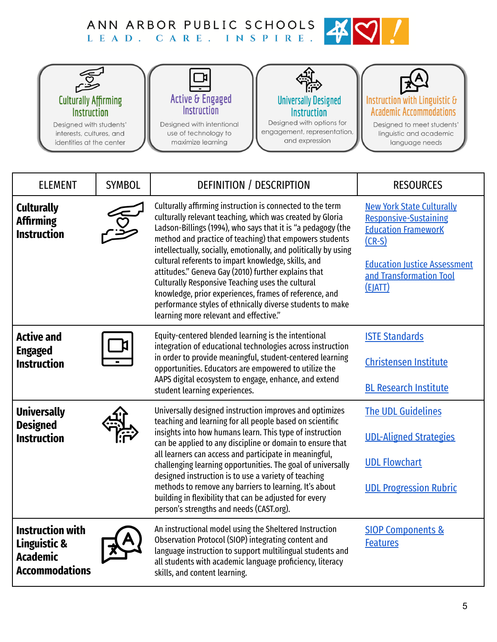# ANN ARBOR PUBLIC SCHOOLS AND CARE. INSPIRE.



| <b>ELEMENT</b>                                                                      | <b>SYMBOL</b> | DEFINITION / DESCRIPTION                                                                                                                                                                                                                                                                                                                                                                                                                                                                                                                                                                                                                                | <b>RESOURCES</b>                                                                                                                                                                        |  |
|-------------------------------------------------------------------------------------|---------------|---------------------------------------------------------------------------------------------------------------------------------------------------------------------------------------------------------------------------------------------------------------------------------------------------------------------------------------------------------------------------------------------------------------------------------------------------------------------------------------------------------------------------------------------------------------------------------------------------------------------------------------------------------|-----------------------------------------------------------------------------------------------------------------------------------------------------------------------------------------|--|
| <b>Culturally</b><br><b>Affirming</b><br><b>Instruction</b>                         |               | Culturally affirming instruction is connected to the term<br>culturally relevant teaching, which was created by Gloria<br>Ladson-Billings (1994), who says that it is "a pedagogy (the<br>method and practice of teaching) that empowers students<br>intellectually, socially, emotionally, and politically by using<br>cultural referents to impart knowledge, skills, and<br>attitudes." Geneva Gay (2010) further explains that<br>Culturally Responsive Teaching uses the cultural<br>knowledge, prior experiences, frames of reference, and<br>performance styles of ethnically diverse students to make<br>learning more relevant and effective." | <b>New York State Culturally</b><br><b>Responsive-Sustaining</b><br><b>Education FrameworK</b><br>$(CR-S)$<br><b>Education Justice Assessment</b><br>and Transformation Tool<br>(EJATT) |  |
| <b>Active and</b><br><b>Engaged</b><br><b>Instruction</b>                           |               | Equity-centered blended learning is the intentional<br>integration of educational technologies across instruction<br>in order to provide meaningful, student-centered learning<br>opportunities. Educators are empowered to utilize the<br>AAPS digital ecosystem to engage, enhance, and extend<br>student learning experiences.                                                                                                                                                                                                                                                                                                                       | <b>ISTE Standards</b><br><b>Christensen Institute</b><br><b>BL Research Institute</b>                                                                                                   |  |
| <b>Universally</b><br><b>Designed</b><br><b>Instruction</b>                         |               | Universally designed instruction improves and optimizes<br>teaching and learning for all people based on scientific<br>insights into how humans learn. This type of instruction<br>can be applied to any discipline or domain to ensure that<br>all learners can access and participate in meaningful,<br>challenging learning opportunities. The goal of universally<br>designed instruction is to use a variety of teaching<br>methods to remove any barriers to learning. It's about<br>building in flexibility that can be adjusted for every<br>person's strengths and needs (CAST.org).                                                           | <b>The UDL Guidelines</b><br><b>UDL-Aligned Strategies</b><br><b>UDL Flowchart</b><br><b>UDL Progression Rubric</b>                                                                     |  |
| <b>Instruction with</b><br>Linguistic &<br><b>Academic</b><br><b>Accommodations</b> |               | An instructional model using the Sheltered Instruction<br>Observation Protocol (SIOP) integrating content and<br>language instruction to support multilingual students and<br>all students with academic language proficiency, literacy<br>skills, and content learning.                                                                                                                                                                                                                                                                                                                                                                                | <b>SIOP Components &amp;</b><br><b>Features</b>                                                                                                                                         |  |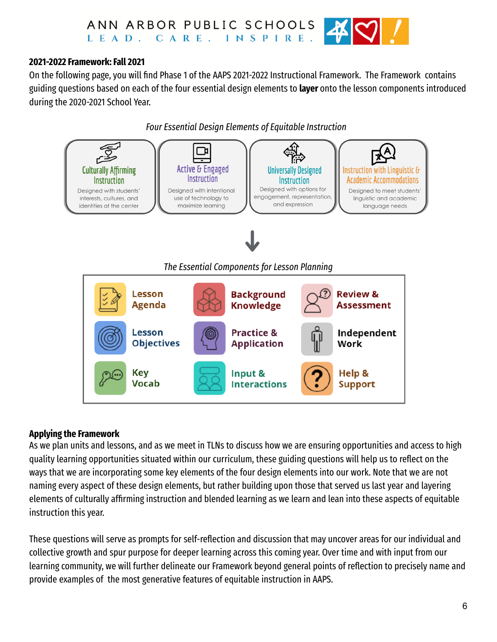

#### **2021-2022 Framework: Fall 2021**

On the following page, you will find Phase 1 of the AAPS 2021-2022 Instructional Framework. The Framework contains guiding questions based on each of the four essential design elements to **layer** onto the lesson components introduced during the 2020-2021 School Year.

*Four Essential Design Elements of Equitable Instruction*



#### **Applying the Framework**

As we plan units and lessons, and as we meet in TLNs to discuss how we are ensuring opportunities and access to high quality learning opportunities situated within our curriculum, these guiding questions will help us to reflect on the ways that we are incorporating some key elements of the four design elements into our work. Note that we are not naming every aspect of these design elements, but rather building upon those that served us last year and layering elements of culturally affirming instruction and blended learning as we learn and lean into these aspects of equitable instruction this year.

These questions will serve as prompts for self-reflection and discussion that may uncover areas for our individual and collective growth and spur purpose for deeper learning across this coming year. Over time and with input from our learning community, we will further delineate our Framework beyond general points of reflection to precisely name and provide examples of the most generative features of equitable instruction in AAPS.